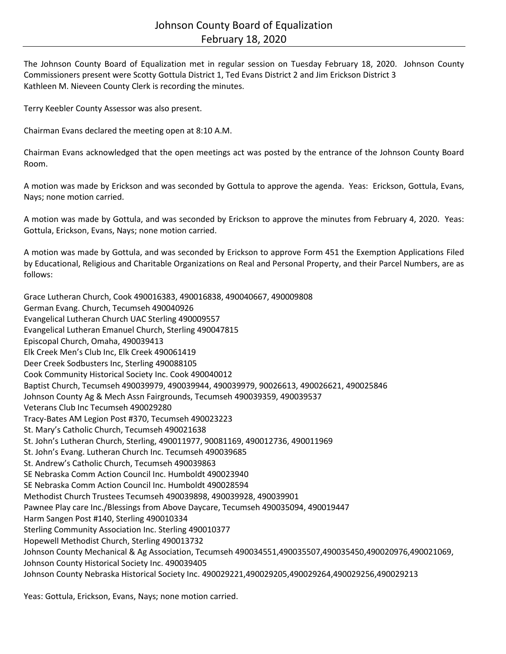The Johnson County Board of Equalization met in regular session on Tuesday February 18, 2020. Johnson County Commissioners present were Scotty Gottula District 1, Ted Evans District 2 and Jim Erickson District 3 Kathleen M. Nieveen County Clerk is recording the minutes.

Terry Keebler County Assessor was also present.

Chairman Evans declared the meeting open at 8:10 A.M.

Chairman Evans acknowledged that the open meetings act was posted by the entrance of the Johnson County Board Room.

A motion was made by Erickson and was seconded by Gottula to approve the agenda. Yeas: Erickson, Gottula, Evans, Nays; none motion carried.

A motion was made by Gottula, and was seconded by Erickson to approve the minutes from February 4, 2020. Yeas: Gottula, Erickson, Evans, Nays; none motion carried.

A motion was made by Gottula, and was seconded by Erickson to approve Form 451 the Exemption Applications Filed by Educational, Religious and Charitable Organizations on Real and Personal Property, and their Parcel Numbers, are as follows:

Grace Lutheran Church, Cook 490016383, 490016838, 490040667, 490009808 German Evang. Church, Tecumseh 490040926 Evangelical Lutheran Church UAC Sterling 490009557 Evangelical Lutheran Emanuel Church, Sterling 490047815 Episcopal Church, Omaha, 490039413 Elk Creek Men's Club Inc, Elk Creek 490061419 Deer Creek Sodbusters Inc, Sterling 490088105 Cook Community Historical Society Inc. Cook 490040012 Baptist Church, Tecumseh 490039979, 490039944, 490039979, 90026613, 490026621, 490025846 Johnson County Ag & Mech Assn Fairgrounds, Tecumseh 490039359, 490039537 Veterans Club Inc Tecumseh 490029280 Tracy-Bates AM Legion Post #370, Tecumseh 490023223 St. Mary's Catholic Church, Tecumseh 490021638 St. John's Lutheran Church, Sterling, 490011977, 90081169, 490012736, 490011969 St. John's Evang. Lutheran Church Inc. Tecumseh 490039685 St. Andrew's Catholic Church, Tecumseh 490039863 SE Nebraska Comm Action Council Inc. Humboldt 490023940 SE Nebraska Comm Action Council Inc. Humboldt 490028594 Methodist Church Trustees Tecumseh 490039898, 490039928, 490039901 Pawnee Play care Inc./Blessings from Above Daycare, Tecumseh 490035094, 490019447 Harm Sangen Post #140, Sterling 490010334 Sterling Community Association Inc. Sterling 490010377 Hopewell Methodist Church, Sterling 490013732 Johnson County Mechanical & Ag Association, Tecumseh 490034551,490035507,490035450,490020976,490021069, Johnson County Historical Society Inc. 490039405 Johnson County Nebraska Historical Society Inc. 490029221,490029205,490029264,490029256,490029213

Yeas: Gottula, Erickson, Evans, Nays; none motion carried.